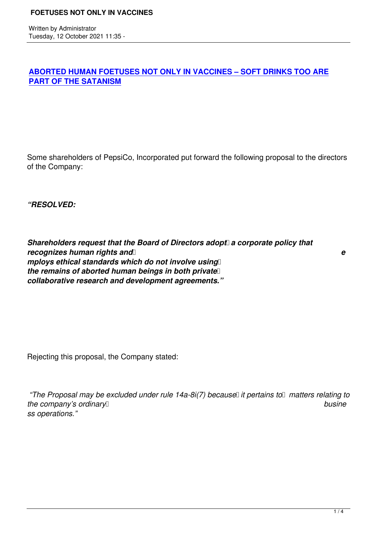## **ABORTED HUMAN FOETUSES NOT ONLY IN VACCINES – SOFT DRINKS TOO ARE PART OF THE SATANISM**

Some shareholders of PepsiCo, Incorporated put forward the following proposal to the directors of the Company:

*"RESOLVED:*

**Shareholders request that the Board of Directors adopt a corporate policy that** *recognizes human rights and e mploys ethical standards which do not involve using the remains of aborted human beings in both private collaborative research and development agreements."*

Rejecting this proposal, the Company stated:

*"The Proposal may be excluded under rule 14a-8i(7) because it pertains to matters relating to the company's ordinary busine ss operations."*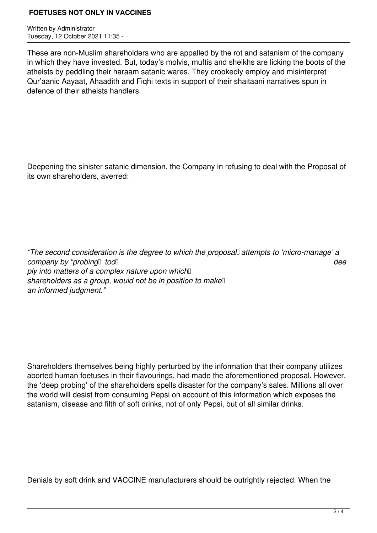#### **FOETUSES NOT ONLY IN VACCINES**

Written by Administrator Tuesday, 12 October 2021 11:35 -

These are non-Muslim shareholders who are appalled by the rot and satanism of the company in which they have invested. But, today's molvis, muftis and sheikhs are licking the boots of the atheists by peddling their haraam satanic wares. They crookedly employ and misinterpret Qur'aanic Aayaat, Ahaadith and Fiqhi texts in support of their shaitaani narratives spun in defence of their atheists handlers.

Deepening the sinister satanic dimension, the Company in refusing to deal with the Proposal of its own shareholders, averred:

*"The second consideration is the degree to which the proposal attempts to 'micro-manage' a company by "probing*  $\alpha$  *too dee ply into matters of a complex nature upon which*  $\Box$ *shareholders as a group, would not be in position to make an informed judgment."*

Shareholders themselves being highly perturbed by the information that their company utilizes aborted human foetuses in their flavourings, had made the aforementioned proposal. However, the 'deep probing' of the shareholders spells disaster for the company's sales. Millions all over the world will desist from consuming Pepsi on account of this information which exposes the satanism, disease and filth of soft drinks, not of only Pepsi, but of all similar drinks.

Denials by soft drink and VACCINE manufacturers should be outrightly rejected. When the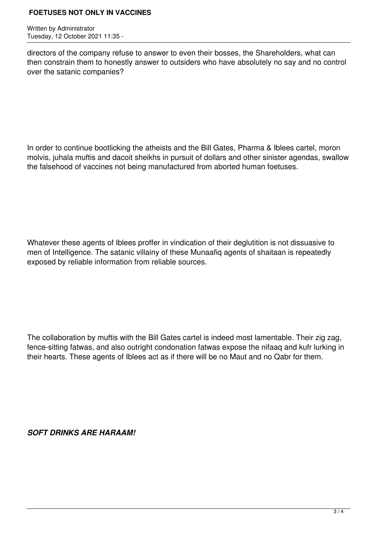### **FOETUSES NOT ONLY IN VACCINES**

Written by Administrator Tuesday, 12 October 2021 11:35 -

directors of the company refuse to answer to even their bosses, the Shareholders, what can then constrain them to honestly answer to outsiders who have absolutely no say and no control over the satanic companies?

In order to continue bootlicking the atheists and the Bill Gates, Pharma & Iblees cartel, moron molvis, juhala muftis and dacoit sheikhs in pursuit of dollars and other sinister agendas, swallow the falsehood of vaccines not being manufactured from aborted human foetuses.

Whatever these agents of Iblees proffer in vindication of their deglutition is not dissuasive to men of Intelligence. The satanic villainy of these Munaafiq agents of shaitaan is repeatedly exposed by reliable information from reliable sources.

The collaboration by muftis with the Bill Gates cartel is indeed most lamentable. Their zig zag, fence-sitting fatwas, and also outright condonation fatwas expose the nifaaq and kufr lurking in their hearts. These agents of Iblees act as if there will be no Maut and no Qabr for them.

*SOFT DRINKS ARE HARAAM!*